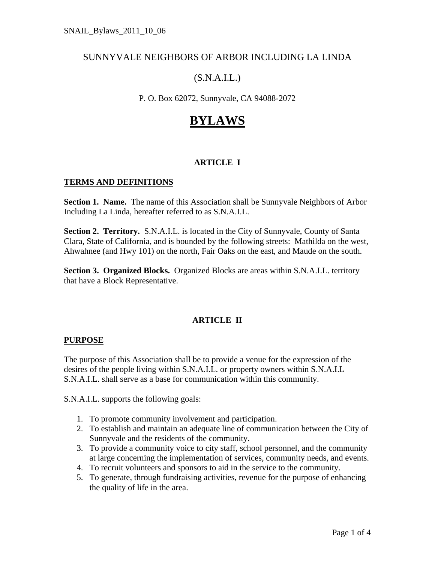# SUNNYVALE NEIGHBORS OF ARBOR INCLUDING LA LINDA

# (S.N.A.I.L.)

P. O. Box 62072, Sunnyvale, CA 94088-2072

# **BYLAWS**

# **ARTICLE I**

#### **TERMS AND DEFINITIONS**

**Section 1. Name.** The name of this Association shall be Sunnyvale Neighbors of Arbor Including La Linda, hereafter referred to as S.N.A.I.L.

**Section 2. Territory.** S.N.A.I.L. is located in the City of Sunnyvale, County of Santa Clara, State of California, and is bounded by the following streets: Mathilda on the west, Ahwahnee (and Hwy 101) on the north, Fair Oaks on the east, and Maude on the south.

**Section 3. Organized Blocks.** Organized Blocks are areas within S.N.A.I.L. territory that have a Block Representative.

# **ARTICLE II**

# **PURPOSE**

The purpose of this Association shall be to provide a venue for the expression of the desires of the people living within S.N.A.I.L. or property owners within S.N.A.I.L S.N.A.I.L. shall serve as a base for communication within this community.

S.N.A.I.L. supports the following goals:

- 1. To promote community involvement and participation.
- 2. To establish and maintain an adequate line of communication between the City of Sunnyvale and the residents of the community.
- 3. To provide a community voice to city staff, school personnel, and the community at large concerning the implementation of services, community needs, and events.
- 4. To recruit volunteers and sponsors to aid in the service to the community.
- 5. To generate, through fundraising activities, revenue for the purpose of enhancing the quality of life in the area.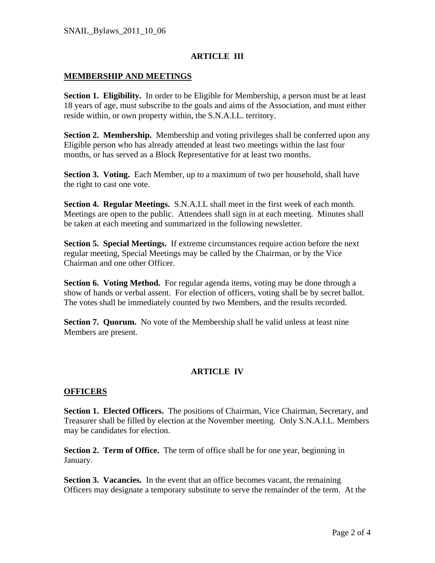#### **ARTICLE III**

#### **MEMBERSHIP AND MEETINGS**

**Section 1. Eligibility.** In order to be Eligible for Membership, a person must be at least 18 years of age, must subscribe to the goals and aims of the Association, and must either reside within, or own property within, the S.N.A.I.L. territory.

**Section 2. Membership.** Membership and voting privileges shall be conferred upon any Eligible person who has already attended at least two meetings within the last four months, or has served as a Block Representative for at least two months.

**Section 3. Voting.** Each Member, up to a maximum of two per household, shall have the right to cast one vote.

**Section 4. Regular Meetings.** S.N.A.I.L shall meet in the first week of each month. Meetings are open to the public. Attendees shall sign in at each meeting. Minutes shall be taken at each meeting and summarized in the following newsletter.

**Section 5. Special Meetings.** If extreme circumstances require action before the next regular meeting, Special Meetings may be called by the Chairman, or by the Vice Chairman and one other Officer.

**Section 6. Voting Method.** For regular agenda items, voting may be done through a show of hands or verbal assent. For election of officers, voting shall be by secret ballot. The votes shall be immediately counted by two Members, and the results recorded.

**Section 7. Quorum.** No vote of the Membership shall be valid unless at least nine Members are present.

# **ARTICLE IV**

#### **OFFICERS**

**Section 1. Elected Officers.** The positions of Chairman, Vice Chairman, Secretary, and Treasurer shall be filled by election at the November meeting. Only S.N.A.I.L. Members may be candidates for election.

**Section 2. Term of Office.** The term of office shall be for one year, beginning in January.

**Section 3. Vacancies.** In the event that an office becomes vacant, the remaining Officers may designate a temporary substitute to serve the remainder of the term. At the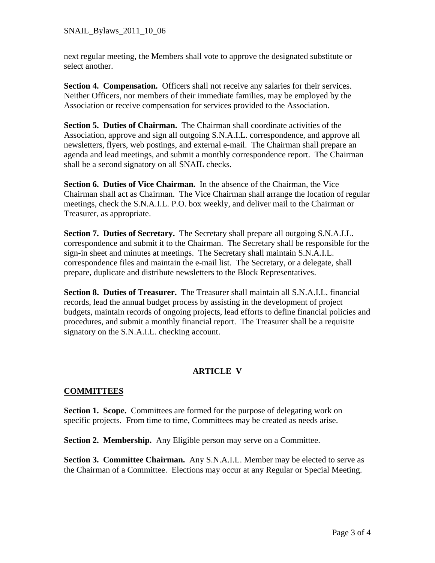next regular meeting, the Members shall vote to approve the designated substitute or select another.

Section 4. Compensation. Officers shall not receive any salaries for their services. Neither Officers, nor members of their immediate families, may be employed by the Association or receive compensation for services provided to the Association.

**Section 5. Duties of Chairman.** The Chairman shall coordinate activities of the Association, approve and sign all outgoing S.N.A.I.L. correspondence, and approve all newsletters, flyers, web postings, and external e-mail. The Chairman shall prepare an agenda and lead meetings, and submit a monthly correspondence report. The Chairman shall be a second signatory on all SNAIL checks.

**Section 6. Duties of Vice Chairman.** In the absence of the Chairman, the Vice Chairman shall act as Chairman. The Vice Chairman shall arrange the location of regular meetings, check the S.N.A.I.L. P.O. box weekly, and deliver mail to the Chairman or Treasurer, as appropriate.

**Section 7. Duties of Secretary.** The Secretary shall prepare all outgoing S.N.A.I.L. correspondence and submit it to the Chairman. The Secretary shall be responsible for the sign-in sheet and minutes at meetings. The Secretary shall maintain S.N.A.I.L. correspondence files and maintain the e-mail list. The Secretary, or a delegate, shall prepare, duplicate and distribute newsletters to the Block Representatives.

**Section 8. Duties of Treasurer.** The Treasurer shall maintain all S.N.A.I.L. financial records, lead the annual budget process by assisting in the development of project budgets, maintain records of ongoing projects, lead efforts to define financial policies and procedures, and submit a monthly financial report. The Treasurer shall be a requisite signatory on the S.N.A.I.L. checking account.

# **ARTICLE V**

# **COMMITTEES**

**Section 1. Scope.** Committees are formed for the purpose of delegating work on specific projects. From time to time, Committees may be created as needs arise.

**Section 2. Membership.** Any Eligible person may serve on a Committee.

**Section 3. Committee Chairman.** Any S.N.A.I.L. Member may be elected to serve as the Chairman of a Committee. Elections may occur at any Regular or Special Meeting.